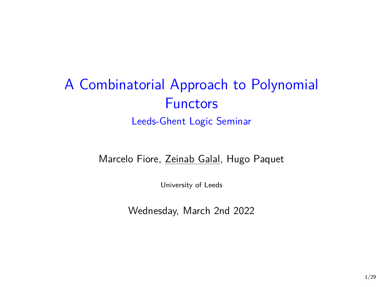# A Combinatorial Approach to Polynomial **Functors** Leeds-Ghent Logic Seminar

#### Marcelo Fiore, Zeinab Galal, Hugo Paquet

University of Leeds

Wednesday, March 2nd 2022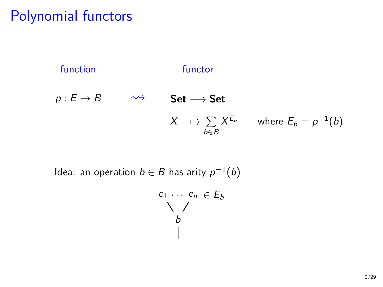Polynomial functors



Idea: an operation  $b \in B$  has arity  $p^{-1}(b)$ 

$$
\begin{array}{c}\ne_1 \cdots \ e_n \in E_b \\
\searrow \nearrow \\
b \\
\downarrow\n\end{array}
$$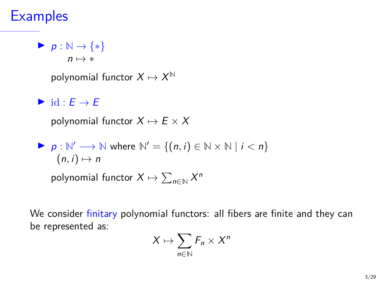## **Examples**

 $\triangleright$  p :  $\mathbb{N} \rightarrow \{*\}$ 

 $n \mapsto *$ 

polynomial functor  $X \mapsto X^{\mathbb{N}}$ 

### $\triangleright$  id :  $E \rightarrow E$

polynomial functor  $X \mapsto E \times X$ 

\n- $$
p: \mathbb{N}' \longrightarrow \mathbb{N}
$$
 where  $\mathbb{N}' = \{(n, i) \in \mathbb{N} \times \mathbb{N} \mid i < n\}$  (n, i)  $\mapsto n$  polynomial functor  $X \mapsto \sum_{n \in \mathbb{N}} X^n$
\n

We consider finitary polynomial functors: all fibers are finite and they can be represented as:

$$
X\mapsto \sum_{n\in\mathbb{N}}F_n\times X^n
$$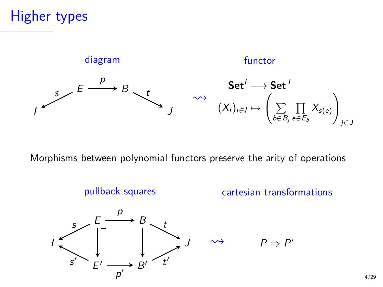# Higher types



Morphisms between polynomial functors preserve the arity of operations



 $\rightarrow$   $P \Rightarrow P'$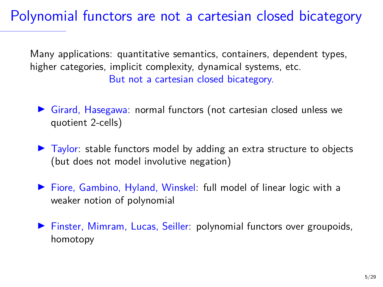Polynomial functors are not a cartesian closed bicategory

Many applications: quantitative semantics, containers, dependent types, higher categories, implicit complexity, dynamical systems, etc. But not a cartesian closed bicategory.

- $\triangleright$  Girard, Hasegawa: normal functors (not cartesian closed unless we quotient 2-cells)
- $\triangleright$  Taylor: stable functors model by adding an extra structure to objects (but does not model involutive negation)
- ▶ Fiore, Gambino, Hyland, Winskel: full model of linear logic with a weaker notion of polynomial
- **Finster, Mimram, Lucas, Seiller: polynomial functors over groupoids,** homotopy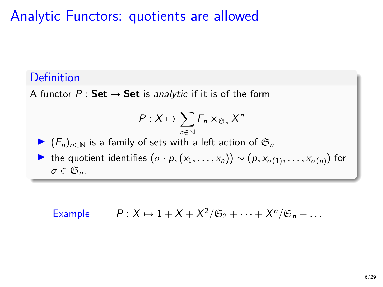Analytic Functors: quotients are allowed

### Definition

A functor  $P : Set \rightarrow Set$  is analytic if it is of the form

$$
P:X\mapsto \sum_{n\in\mathbb{N}}F_n\times_{\mathfrak{S}_n}X^n
$$

 $\triangleright$   $(F_n)_{n \in \mathbb{N}}$  is a family of sets with a left action of  $\mathfrak{S}_n$ 

 $\triangleright$  the quotient identifies  $(σ · p, (x_1, ..., x_n)) ∼ (p, x_{σ(1)}, ..., x_{σ(n)})$  for  $\sigma \in \mathfrak{S}_n$ .

Example 
$$
P: X \mapsto 1 + X + X^2/\mathfrak{S}_2 + \cdots + X^n/\mathfrak{S}_n + \cdots
$$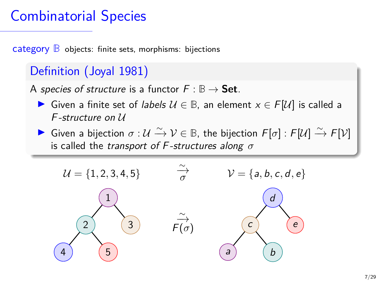# Combinatorial Species

category **B** objects: finite sets, morphisms: bijections

### Definition (Joyal 1981)

A species of structure is a functor  $F : \mathbb{B} \to \mathsf{Set}$ .

- **IF** Given a finite set of labels  $U \in \mathbb{B}$ , an element  $x \in F[U]$  is called a F -structure on U
- ► Given a bijection  $\sigma: U \xrightarrow{\sim} V \in \mathbb{B}$ , the bijection  $F[\sigma]: F[U] \xrightarrow{\sim} F[V]$ is called the transport of F -structures along *σ*

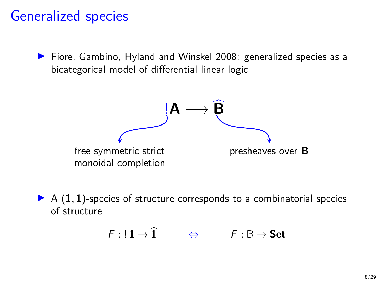## Generalized species

▶ Fiore, Gambino, Hyland and Winskel 2008: generalized species as a bicategorical model of differential linear logic



 $\triangleright$  A  $(1, 1)$ -species of structure corresponds to a combinatorial species of structure

$$
F: !1 \to \widehat{1} \qquad \Leftrightarrow \qquad F: \mathbb{B} \to \mathsf{Set}
$$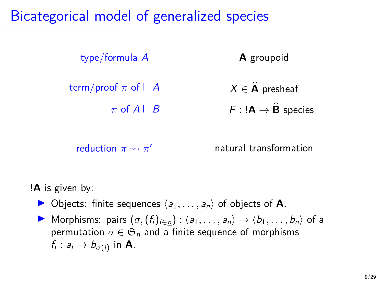## Bicategorical model of generalized species



reduction  $\pi \rightsquigarrow \pi'$ 

<sup>0</sup> natural transformation

#### !**A** is given by:

- $\triangleright$  Objects: finite sequences  $\langle a_1, \ldots, a_n \rangle$  of objects of **A**.
- $\triangleright$  Morphisms: pairs  $(σ, (f_i)_{i ∈ n}) : \langle a_1, \ldots, a_n \rangle \rightarrow \langle b_1, \ldots, b_n \rangle$  of a permutation  $\sigma \in \mathfrak{S}_n$  and a finite sequence of morphisms  $f_i: a_i \rightarrow b_{\sigma(i)}$  in **A**.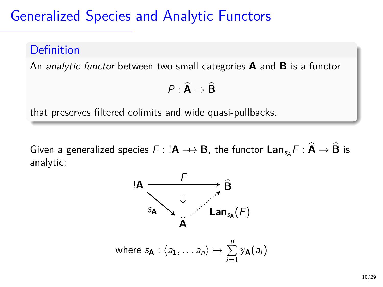# Generalized Species and Analytic Functors

#### Definition

An analytic functor between two small categories **A** and **B** is a functor

$$
P: \widehat{\mathbf{A}} \to \widehat{\mathbf{B}}
$$

that preserves filtered colimits and wide quasi-pullbacks.

Given a generalized species  $F : !A \rightarrow B$ , the functor  $\text{Lan}_{s_A} F : \hat{A} \rightarrow \hat{B}$  is analytic:

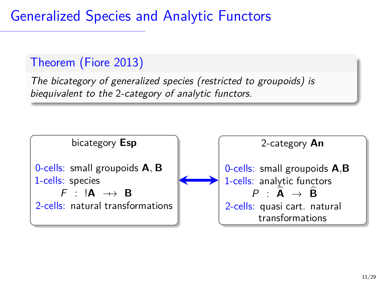Generalized Species and Analytic Functors

### Theorem (Fiore 2013)

The bicategory of generalized species (restricted to groupoids) is biequivalent to the 2-category of analytic functors.

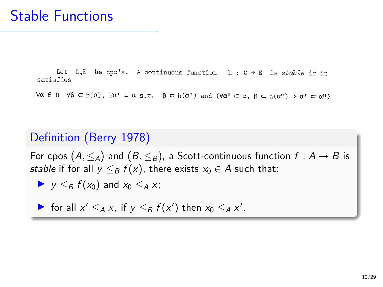Let  $D, E$  be cpo's. A continuous function  $h : D \rightarrow E$  is stable if it satisfies

 $\forall \alpha \in D \quad \forall \beta \subset h(\alpha), \; \exists \alpha' \subseteq \alpha \text{ s.t. } \beta \subset h(\alpha') \text{ and } (\forall \alpha'' \subset \alpha, \; \beta \subset h(\alpha'') \Rightarrow \alpha' \subset \alpha'')$ 

### Definition (Berry 1978)

For cpos  $(A, \leq_A)$  and  $(B, \leq_B)$ , a Scott-continuous function  $f : A \rightarrow B$  is stable if for all  $y \leq_B f(x)$ , there exists  $x_0 \in A$  such that:

$$
\blacktriangleright \ \ y \leq_B f(x_0) \text{ and } x_0 \leq_A x;
$$

▶ for all  $x' \leq_A x$ , if  $y \leq_B f(x')$  then  $x_0 \leq_A x'$ .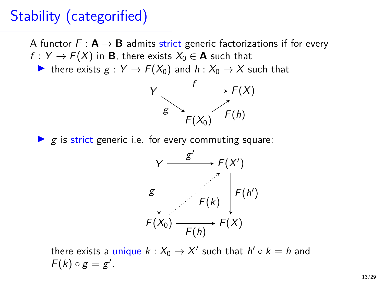# Stability (categorified)

A functor  $F : \mathbf{A} \to \mathbf{B}$  admits strict generic factorizations if for every  $f: Y \to F(X)$  in **B**, there exists  $X_0 \in \mathbf{A}$  such that

In there exists  $g: Y \to F(X_0)$  and  $h: X_0 \to X$  such that



 $\blacktriangleright$  g is strict generic i.e. for every commuting square:



there exists a unique  $k: X_0 \to X'$  such that  $h' \circ k = h$  and  $F(k) \circ g = g'.$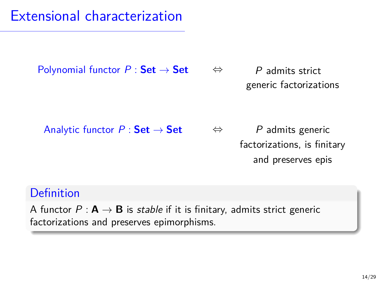# Extensional characterization

Polynomial functor  $P : \mathsf{Set} \to \mathsf{Set}$   $\Leftrightarrow$  P admits strict generic factorizations ⇔

Analytic functor  $P : \mathsf{Set} \to \mathsf{Set}$   $\Leftrightarrow$  P admits generic factorizations, is finitary and preserves epis ⇔

### Definition

A functor  $P : \mathbf{A} \to \mathbf{B}$  is stable if it is finitary, admits strict generic factorizations and preserves epimorphisms.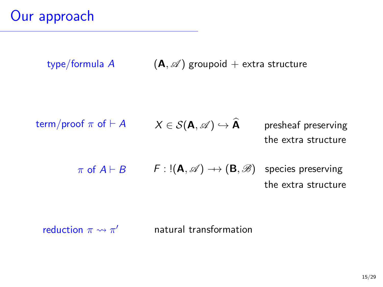type/formula A  $(A, \mathscr{A})$  groupoid + extra structure

\n
$$
X \in \mathcal{S}(\mathbf{A}, \mathcal{A}) \hookrightarrow \widehat{\mathbf{A}}
$$
 presheaf preserving the extra structure\n

\n\n $\pi$  of  $A \vdash B$   $F : \mathbb{I}(\mathbf{A}, \mathcal{A}) \to (\mathbf{B}, \mathcal{B})$  species preserving\n

the extra structure

reduction  $\pi \rightsquigarrow \pi'$ <sup>0</sup> natural transformation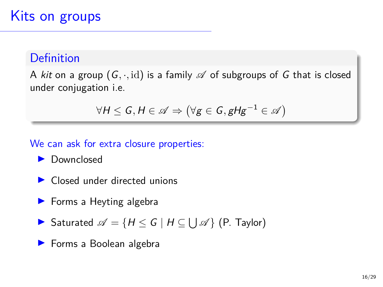#### Definition

A kit on a group  $(G, \cdot, id)$  is a family  $\mathscr A$  of subgroups of G that is closed under conjugation i.e.

$$
\forall H \leq G, H \in \mathscr{A} \Rightarrow (\forall g \in G, gHg^{-1} \in \mathscr{A})
$$

#### We can ask for extra closure properties:

- Downclosed
- $\triangleright$  Closed under directed unions
- $\blacktriangleright$  Forms a Heyting algebra
- Saturated  $\mathscr{A} = \{ H \leq G \mid H \subseteq \bigcup \mathscr{A} \}$  (P. Taylor)
- $\blacktriangleright$  Forms a Boolean algebra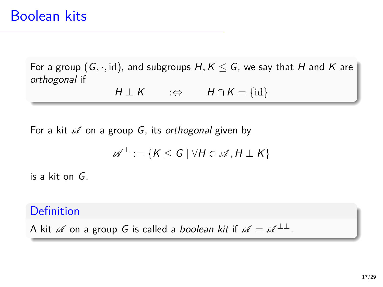For a group  $(G, \cdot, id)$ , and subgroups  $H, K \leq G$ , we say that H and K are orthogonal if

 $H \perp K$  :⇔  $H \cap K = \{id\}$ 

For a kit  $\mathscr A$  on a group G, its orthogonal given by

$$
\mathscr{A}^{\perp} := \{ K \leq G \mid \forall H \in \mathscr{A}, H \perp K \}
$$

is a kit on G.

#### Definition

A kit  $\mathscr A$  on a group G is called a *boolean kit* if  $\mathscr A = \mathscr A^{\perp \perp}$ .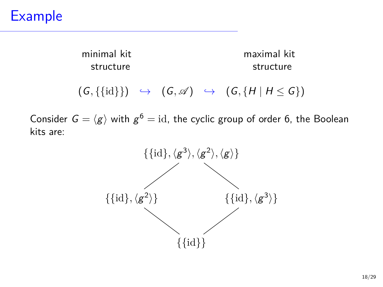# Example

minimal kit maximal kit structure structure

 $(G, \{\{\text{id}\}\}) \rightarrow (G, \mathcal{A}) \rightarrow (G, \{H \mid H \leq G\})$ 

Consider  $G = \langle g \rangle$  with  $g^6 = \mathrm{id}$ , the cyclic group of order 6, the Boolean kits are:

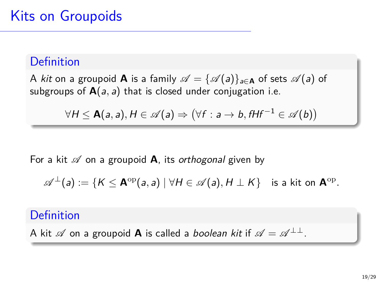#### Definition

A kit on a groupoid **A** is a family  $\mathscr{A} = {\{\mathscr{A}(a)\}}_{a \in \mathbf{A}}$  of sets  $\mathscr{A}(a)$  of subgroups of  $A(a, a)$  that is closed under conjugation i.e.

$$
\forall H \leq \mathsf{A}(a,a), H \in \mathscr{A}(a) \Rightarrow (\forall f : a \rightarrow b, f H f^{-1} \in \mathscr{A}(b))
$$

For a kit  $\mathscr A$  on a groupoid **A**, its *orthogonal* given by

$$
\mathscr{A}^\perp(\mathsf{a}) := \{K \leq \mathbf{A}^\mathrm{op}(\mathsf{a},\mathsf{a}) \ | \ \forall H \in \mathscr{A}(\mathsf{a}), H \perp K\} \quad \text{is a kit on $\mathbf{A}^\mathrm{op}$}.
$$

#### Definition

A kit  $\mathscr A$  on a groupoid **A** is called a *boolean kit* if  $\mathscr A = \mathscr A^{\perp \perp}$ .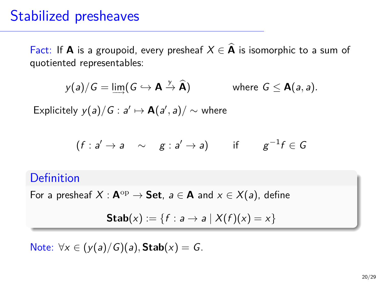### Stabilized presheaves

Fact: If **A** is a groupoid, every presheaf  $X \in \widehat{A}$  is isomorphic to a sum of quotiented representables:

$$
y(a)/G = \lim_{\to} (G \hookrightarrow \mathbf{A} \stackrel{y}{\to} \mathbf{\hat{A}})
$$
 where  $G \leq \mathbf{A}(a, a)$ .

Explicitely  $y(a)/G : a' \mapsto \mathbf{A}(a',a)/\sim$  where

$$
(f: a' \rightarrow a \sim g: a' \rightarrow a)
$$
 if  $g^{-1}f \in G$ 

#### Definition

For a presheaf  $X : \mathbf{A}^{\mathrm{op}} \to \mathbf{Set}$ ,  $a \in \mathbf{A}$  and  $x \in X(a)$ , define

$$
\mathsf{Stab}(x) := \{ f : a \to a \mid X(f)(x) = x \}
$$

Note:  $∀x ∈ (y(a)/G)(a)$ **, Stab** $(x) = G$ .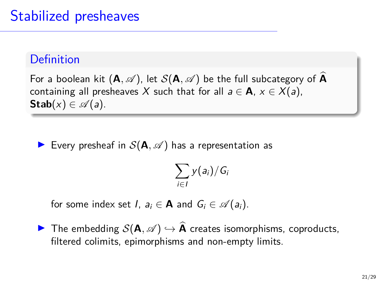### **Definition**

For a boolean kit  $(A, \mathscr{A})$ , let  $\mathcal{S}(A, \mathscr{A})$  be the full subcategory of  $\widehat{A}$ containing all presheaves X such that for all  $a \in \mathbf{A}$ ,  $x \in X(a)$ , **Stab** $(x) \in \mathcal{A}(a)$ .

Every presheaf in  $S(A, \mathscr{A})$  has a representation as

$$
\sum_{i\in I} y(a_i)/G_i
$$

for some index set *I*,  $a_i \in \mathbf{A}$  and  $G_i \in \mathcal{A}(a_i)$ .

**▶** The embedding  $S(A, \mathscr{A}) \hookrightarrow \widehat{A}$  creates isomorphisms, coproducts, filtered colimits, epimorphisms and non-empty limits.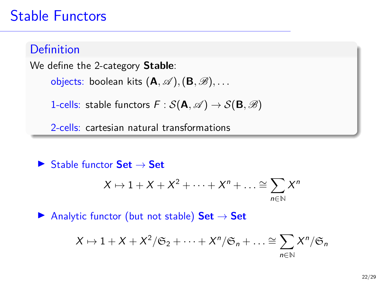# Stable Functors

### **Definition**

We define the 2-category **Stable**:

objects: boolean kits (**A***,* A )*,*(**B***,* B)*, . . .*

1-cells: stable functors  $F : \mathcal{S}(\mathbf{A}, \mathcal{A}) \to \mathcal{S}(\mathbf{B}, \mathcal{B})$ 

2-cells: cartesian natural transformations

 $\blacktriangleright$  Stable functor **Set**  $\rightarrow$  **Set** 

$$
X \mapsto 1 + X + X^2 + \cdots + X^n + \dots \cong \sum_{n \in \mathbb{N}} X^n
$$

 $▶$  Analytic functor (but not stable) **Set**  $\rightarrow$  **Set** 

$$
X \mapsto 1 + X + X^2 / \mathfrak{S}_2 + \cdots + X^n / \mathfrak{S}_n + \ldots \cong \sum_{n \in \mathbb{N}} X^n / \mathfrak{S}_n
$$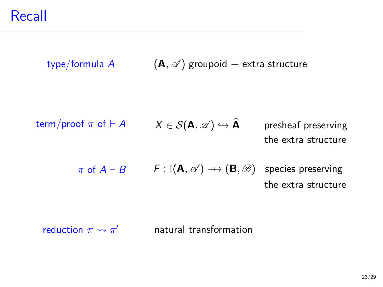type/formula A  $(A, \mathscr{A})$  groupoid + extra structure term/proof  $\pi$  of  $\vdash A$  $\pi$  of  $A \vdash B$  $X \in \mathcal{S}(\mathbf{A}, \mathscr{A}) \hookrightarrow \widehat{\mathbf{A}}$  presheaf preserving the extra structure  $F : \mathsf{I}(\mathbf{A}, \mathscr{A}) \longrightarrow (\mathbf{B}, \mathscr{B})$  species preserving the extra structure

reduction  $\pi \rightsquigarrow \pi'$ <sup>0</sup> natural transformation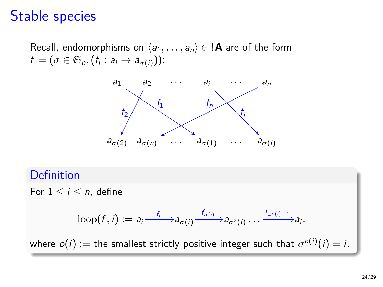## Stable species

Recall, endomorphisms on  $\langle a_1, \ldots, a_n \rangle \in \mathbf{A}$  are of the form  $f=(\sigma\in \mathfrak{S}_n,(f_i: a_i\rightarrow a_{\sigma(i)}))$ :



#### **Definition**

For  $1 \leq i \leq n$ , define

$$
\mathrm{loop}(f, i) := a_i \xrightarrow{f_i} a_{\sigma(i)} \xrightarrow{f_{\sigma(i)}} a_{\sigma^2(i)} \dots \xrightarrow{f_{\sigma^{\circ(i)-1}}} a_i.
$$

where  $o(i) :=$  the smallest strictly positive integer such that  $\sigma^{o(i)}(i) = i.$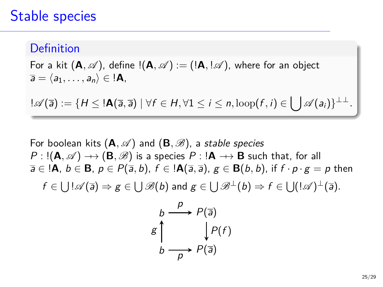### Stable species

#### Definition

For a kit  $(A, \mathcal{A})$ , define  $!(A, \mathcal{A}) := (A, \mathcal{A})$ , where for an object  $\overline{a} = \langle a_1, \ldots, a_n \rangle \in \mathsf{A},$ 

 $\mathbb{L}\mathscr{A}(\overline{a}) := \{H \leq \mathsf{I} \mathbf{A}(\overline{a},\overline{a}) \mid \forall f \in H, \forall 1 \leq i \leq n, \text{loop}(f,i) \in \bigcup \mathscr{A}(a_i)\}^{\perp\perp}.$ 

For boolean kits  $(A, \mathcal{A})$  and  $(B, \mathcal{B})$ , a stable species  $P : \mathsf{I}(\mathbf{A}, \mathscr{A}) \longrightarrow (\mathbf{B}, \mathscr{B})$  is a species  $P : \mathsf{I}\mathbf{A} \longrightarrow \mathbf{B}$  such that, for all  $\overline{a} \in \mathcal{A}, b \in \mathbf{B}, p \in P(\overline{a}, b), f \in \mathcal{A}(\overline{a}, \overline{a}), g \in \mathbf{B}(b, b),$  if  $f \cdot p \cdot g = p$  then  $f\in\bigcup\mathord{!}\mathscr{A}(\overline{a})\Rightarrow g\in\bigcup\mathscr{B}(b)$  and  $g\in\bigcup\mathscr{B}^{\perp}(b)\Rightarrow f\in\bigcup(\mathord{!}\mathscr{A})^{\perp}(\overline{a})$ .

$$
g \uparrow \qquad \downarrow P(\overline{a})
$$
\n
$$
g \uparrow \qquad \qquad \downarrow P(f)
$$
\n
$$
b \longrightarrow P(\overline{a})
$$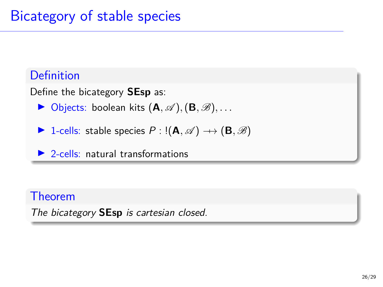### Definition

Define the bicategory **SEsp** as:

- $\triangleright$  Objects: boolean kits  $(A, \mathscr{A}), (B, \mathscr{B}), \ldots$
- $\triangleright$  1-cells: stable species  $P$  : !(**A***, ∞*)  $\rightarrow$  (**B***, ∞*)

 $\triangleright$  2-cells: natural transformations

### Theorem

The bicategory **SEsp** is cartesian closed.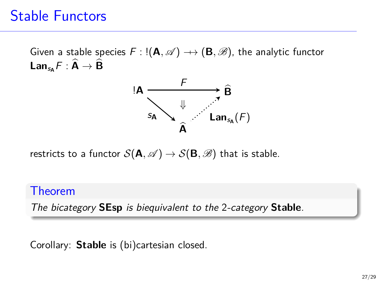# Stable Functors

Given a stable species  $F$  : ! $(A, \mathscr{A}) \rightarrow (B, \mathscr{B})$ , the analytic functor  $\mathsf{Lan}_{\mathsf{sa}}F : \widehat{\mathsf{A}} \to \widehat{\mathsf{B}}$ 



restricts to a functor  $S(\mathbf{A}, \mathscr{A}) \to S(\mathbf{B}, \mathscr{B})$  that is stable.

#### Theorem

The bicategory **SEsp** is biequivalent to the 2-category **Stable**.

Corollary: **Stable** is (bi)cartesian closed.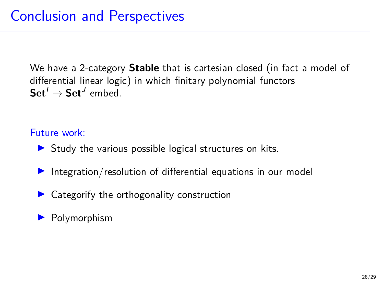We have a 2-category **Stable** that is cartesian closed (in fact a model of differential linear logic) in which finitary polynomial functors  $\mathbf{Set}^I \to \mathbf{Set}^J$  embed.

#### Future work:

- $\triangleright$  Study the various possible logical structures on kits.
- Integration/resolution of differential equations in our model
- $\triangleright$  Categorify the orthogonality construction

#### $\blacktriangleright$  Polymorphism